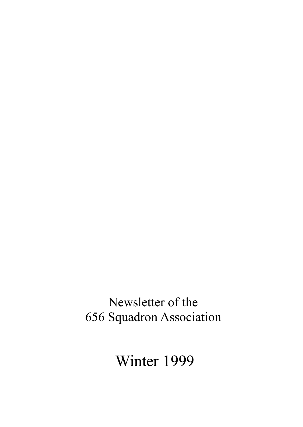# Newsletter of the 656 Squadron Association

Winter 1999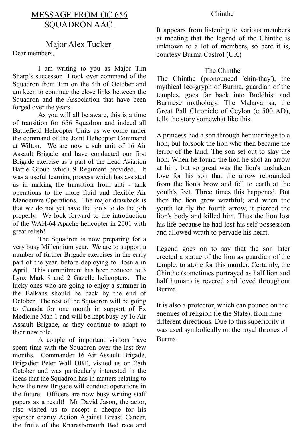# MESSAGE FROM OC 656 SQUADRON AAC

# Major Alex Tucker

Dear members,

I am writing to you as Major Tim Sharp's successor. I took over command of the Squadron from Tim on the 4th of October and am keen to continue the close links between the Squadron and the Association that have been forged over the years.

As you will all be aware, this is a time of transition for 656 Squadron and indeed all Battlefield Helicopter Units as we come under the command of the Joint Helicopter Command at Wilton. We are now a sub unit of 16 Air Assault Brigade and have conducted our first Brigade exercise as a part of the Lead Aviation Battle Group which 9 Regiment provided. It was a useful learning process which has assisted us in making the transition from anti - tank operations to the more fluid and flexible Air Manoeuvre Operations. The major drawback is that we do not yet have the tools to do the job properly. We look forward to the introduction of the WAH-64 Apache helicopter in 2001 with great relish!

The Squadron is now preparing for a very busy Millennium year. We are to support a number of further Brigade exercises in the early part of the year, before deploying to Bosnia in April. This commitment has been reduced to 3 Lynx Mark 9 and 2 Gazelle helicopters. The lucky ones who are going to enjoy a summer in the Balkans should be back by the end of October. The rest of the Squadron will be going to Canada for one month in support of Ex Medicine Man 1 and will be kept busy by 16 Air Assault Brigade, as they continue to adapt to their new role.

A couple of important visitors have spent time with the Squadron over the last few months. Commander 16 Air Assault Brigade, Brigadier Peter Wall OBE, visited us on 28th October and was particularly interested in the ideas that the Squadron has in matters relating to how the new Brigade will conduct operations in the future. Officers are now busy writing staff papers as a result! Mr David Jason, the actor, also visited us to accept a cheque for his sponsor charity Action Against Breast Cancer, the fruits of the Knaresborough Bed race and

#### Chinthe

It appears from listening to various members at meeting that the legend of the Chinthe is unknown to a lot of members, so here it is, courtesy Burma Castrol (UK)

## The Chinthe

The Chinthe (pronounced 'chin-thay'), the mythical Ieo-gryph of Burma, guardian of the temples, goes far back into Buddhist and Burmese mythology. The Mahavamsa, the Great Pall Chronicle of Ceylon (c 500 AD), tells the story somewhat like this.

A princess had a son through her marriage to a lion, but forsook the lion who then became the terror of the land. The son set out to slay the lion. When he found the lion he shot an arrow at him, but so great was the lion's unshaken love for his son that the arrow rebounded from the lion's brow and fell to earth at the youth's feet. Three times this happened. But then the lion grew wrathful; and when the youth let fly the fourth arrow, it pierced the lion's body and killed him. Thus the lion lost his life because he had lost his self-possession and allowed wrath to pervade his heart.

Legend goes on to say that the son later erected a statue of the lion as guardian of the temple, to atone for this murder. Certainly, the Chinthe (sometimes portrayed as half lion and half human) is revered and loved throughout Burma.

It is also a protector, which can pounce on the enemies of religion (ie the State), from nine different directions. Due to this superiority it was used symbolically on the royal thrones of Burma.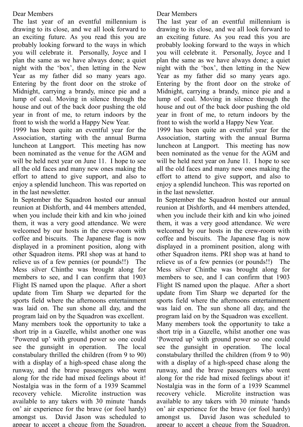## Dear Members

The last year of an eventful millennium is drawing to its close, and we all look forward to an exciting future. As you read this you are probably looking forward to the ways in which you will celebrate it. Personally, Joyce and I plan the same as we have always done; a quiet night with the 'box', then letting in the New Year as my father did so many years ago. Entering by the front door on the stroke of Midnight, carrying a brandy, mince pie and a lump of coal. Moving in silence through the house and out of the back door pushing the old year in front of me, to return indoors by the front to wish the world a Happy New Year.

1999 has been quite an eventful year for the Association, starting with the annual Burma luncheon at Langport. This meeting has now been nominated as the venue for the AGM and will be held next year on June 11. I hope to see all the old faces and many new ones making the effort to attend to give support, and also to enjoy a splendid luncheon. This was reported on in the last newsletter.

In September the Squadron hosted our annual reunion at Dishforth, and 44 members attended, when you include their kith and kin who joined them, it was a very good attendance. We were welcomed by our hosts in the crew-room with coffee and biscuits. The Japanese flag is now displayed in a prominent position, along with other Squadron items. PRI shop was at hand to relieve us of a few pennies (or pounds!!) The Mess silver Chinthe was brought along for members to see, and I can confirm that 1903 Flight IS named upon the plaque. After a short update from Tim Sharp we departed for the sports field where the afternoons entertainment was laid on. The sun shone all day, and the program laid on by the Squadron was excellent.

Many members took the opportunity to take a short trip in a Gazelle, whilst another one was 'Powered up' with ground power so one could see the gunsight in operation. The local constabulary thrilled the children (from 9 to 90) with a display of a high-speed chase along the runway, and the brave passengers who went along for the ride had mixed feelings about it! Nostalgia was in the form of a 1939 Scammel recovery vehicle. Microlite instruction was available to any takers with 30 minute 'hands on' air experience for the brave (or fool hardy) amongst us. David Jason was scheduled to appear to accept a cheque from the Squadron.

## Dear Members

The last year of an eventful millennium is drawing to its close, and we all look forward to an exciting future. As you read this you are probably looking forward to the ways in which you will celebrate it. Personally, Joyce and I plan the same as we have always done; a quiet night with the 'box', then letting in the New Year as my father did so many years ago. Entering by the front door on the stroke of Midnight, carrying a brandy, mince pie and a lump of coal. Moving in silence through the house and out of the back door pushing the old year in front of me, to return indoors by the front to wish the world a Happy New Year.

1999 has been quite an eventful year for the Association, starting with the annual Burma luncheon at Langport. This meeting has now been nominated as the venue for the AGM and will be held next year on June 11. I hope to see all the old faces and many new ones making the effort to attend to give support, and also to enjoy a splendid luncheon. This was reported on in the last newsletter.

In September the Squadron hosted our annual reunion at Dishforth, and 44 members attended, when you include their kith and kin who joined them, it was a very good attendance. We were welcomed by our hosts in the crew-room with coffee and biscuits. The Japanese flag is now displayed in a prominent position, along with other Squadron items. PRI shop was at hand to relieve us of a few pennies (or pounds!!) The Mess silver Chinthe was brought along for members to see, and I can confirm that 1903 Flight IS named upon the plaque. After a short update from Tim Sharp we departed for the sports field where the afternoons entertainment was laid on. The sun shone all day, and the program laid on by the Squadron was excellent.

Many members took the opportunity to take a short trip in a Gazelle, whilst another one was 'Powered up' with ground power so one could see the gunsight in operation. The local constabulary thrilled the children (from 9 to 90) with a display of a high-speed chase along the runway, and the brave passengers who went along for the ride had mixed feelings about it! Nostalgia was in the form of a 1939 Scammel recovery vehicle. Microlite instruction was available to any takers with 30 minute 'hands on' air experience for the brave (or fool hardy) amongst us. David Jason was scheduled to appear to accept a cheque from the Squadron.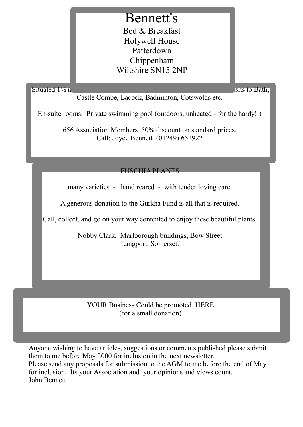# Bennett's

Bed & Breakfast Holywell House Patterdown Chippenham Wiltshire SN15 2NP

Situated 1½ niles from Chippenham town centre it is convenient for visits to Bath,  $\sinh x$ 

Castle Combe, Lacock, Badminton, Cotswolds etc.

En-suite rooms. Private swimming pool (outdoors, unheated - for the hardy!!)

656 Association Members 50% discount on standard prices. Call: Joyce Bennett (01249) 652922

FUSCHIA PLANTS

many varieties - hand reared - with tender loving care.

A generous donation to the Gurkha Fund is all that is required.

Call, collect, and go on your way contented to enjoy these beautiful plants.

Nobby Clark, Marlborough buildings, Bow Street Langport, Somerset.

YOUR Business Could be promoted HERE (for a small donation)

Anyone wishing to have articles, suggestions or comments published please submit them to me before May 2000 for inclusion in the next newsletter. Please send any proposals for submission to the AGM to me before the end of May for inclusion. Its your Association and your opinions and views count. John Bennett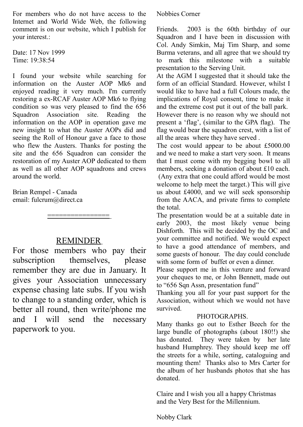For members who do not have access to the Internet and World Wide Web, the following comment is on our website, which I publish for your interest.:

Date: 17 Nov 1999 Time: 19:38:54

I found your website while searching for information on the Auster AOP Mk6 and enjoyed reading it very much. I'm currently restoring a ex-RCAF Auster AOP Mk6 to flying condition so was very pleased to find the 656 Squadron Association site. Reading the information on the AOP in operation gave me new insight to what the Auster AOPs did and seeing the Roll of Honour gave a face to those who flew the Austers. Thanks for posting the site and the 656 Squadron can consider the restoration of my Auster AOP dedicated to them as well as all other AOP squadrons and crews around the world.

Brian Rempel - Canada email: fulcrum@direct.ca

# REMINDER

====================<br>-

For those members who pay their subscription themselves, please remember they are due in January. It gives your Association unnecessary expense chasing late subs. If you wish to change to a standing order, which is better all round, then write/phone me and I will send the necessary paperwork to you.

## Nobbies Corner

Friends. 2003 is the 60th birthday of our Squadron and I have been in discussion with Col. Andy Simkin, Maj Tim Sharp, and some Burma veterans, and all agree that we should try to mark this milestone with a suitable presentation to the Serving Unit.

At the AGM I suggested that it should take the form of an official Standard. However, whilst I would like to have had a full Colours made, the implications of Royal consent, time to make it and the extreme cost put it out of the ball park.

However there is no reason why we should not present a 'flag', (similar to the GPA flag). The flag would bear the squadron crest, with a list of all the areas where they have served .

The cost would appear to be about £5000.00 and we need to make a start very soon. It means that I must come with my begging bowl to all members, seeking a donation of about £10 each. (Any extra that one could afford would be most welcome to help meet the target.) This will give us about £4000, and we will seek sponsorship from the AACA, and private firms to complete the total.

The presentation would be at a suitable date in early 2003, the most likely venue being Dishforth. This will be decided by the OC and your committee and notified. We would expect to have a good attendance of members, and some guests of honour. The day could conclude with some form of buffet or even a dinner.

Please support me in this venture and forward your cheques to me, or John Bennett, made out to "656 Sqn Assn, presentation fund"

Thanking you all for your past support for the Association, without which we would not have survived.

## PHOTOGRAPHS.

Many thanks go out to Esther Beech for the large bundle of photographs (about 180!!) she has donated. They were taken by her late husband Humphrey. They should keep me off the streets for a while, sorting, cataloguing and mounting them! Thanks also to Mrs Carter for the album of her husbands photos that she has donated.

Claire and I wish you all a happy Christmas and the Very Best for the Millennium.

Nobby Clark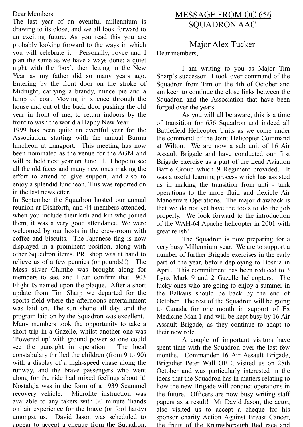## Dear Members

The last year of an eventful millennium is drawing to its close, and we all look forward to an exciting future. As you read this you are probably looking forward to the ways in which you will celebrate it. Personally, Joyce and I plan the same as we have always done; a quiet night with the 'box', then letting in the New Year as my father did so many years ago. Entering by the front door on the stroke of Midnight, carrying a brandy, mince pie and a lump of coal. Moving in silence through the house and out of the back door pushing the old year in front of me, to return indoors by the front to wish the world a Happy New Year.

1999 has been quite an eventful year for the Association, starting with the annual Burma luncheon at Langport. This meeting has now been nominated as the venue for the AGM and will be held next year on June 11. I hope to see all the old faces and many new ones making the effort to attend to give support, and also to enjoy a splendid luncheon. This was reported on in the last newsletter.

In September the Squadron hosted our annual reunion at Dishforth, and 44 members attended, when you include their kith and kin who joined them, it was a very good attendance. We were welcomed by our hosts in the crew-room with coffee and biscuits. The Japanese flag is now displayed in a prominent position, along with other Squadron items. PRI shop was at hand to relieve us of a few pennies (or pounds!!) The Mess silver Chinthe was brought along for members to see, and I can confirm that 1903 Flight IS named upon the plaque. After a short update from Tim Sharp we departed for the sports field where the afternoons entertainment was laid on. The sun shone all day, and the program laid on by the Squadron was excellent.

Many members took the opportunity to take a short trip in a Gazelle, whilst another one was 'Powered up' with ground power so one could see the gunsight in operation. The local constabulary thrilled the children (from 9 to 90) with a display of a high-speed chase along the runway, and the brave passengers who went along for the ride had mixed feelings about it! Nostalgia was in the form of a 1939 Scammel recovery vehicle. Microlite instruction was available to any takers with 30 minute 'hands on' air experience for the brave (or fool hardy) amongst us. David Jason was scheduled to appear to accept a cheque from the Squadron.

# MESSAGE FROM OC 656 SQUADRON AAC

# Major Alex Tucker

Dear members,

I am writing to you as Major Tim Sharp's successor. I took over command of the Squadron from Tim on the 4th of October and am keen to continue the close links between the Squadron and the Association that have been forged over the years.

As you will all be aware, this is a time of transition for 656 Squadron and indeed all Battlefield Helicopter Units as we come under the command of the Joint Helicopter Command at Wilton. We are now a sub unit of 16 Air Assault Brigade and have conducted our first Brigade exercise as a part of the Lead Aviation Battle Group which 9 Regiment provided. It was a useful learning process which has assisted us in making the transition from anti - tank operations to the more fluid and flexible Air Manoeuvre Operations. The major drawback is that we do not yet have the tools to do the job properly. We look forward to the introduction of the WAH-64 Apache helicopter in 2001 with great relish!

The Squadron is now preparing for a very busy Millennium year. We are to support a number of further Brigade exercises in the early part of the year, before deploying to Bosnia in April. This commitment has been reduced to 3 Lynx Mark 9 and 2 Gazelle helicopters. The lucky ones who are going to enjoy a summer in the Balkans should be back by the end of October. The rest of the Squadron will be going to Canada for one month in support of Ex Medicine Man 1 and will be kept busy by 16 Air Assault Brigade, as they continue to adapt to their new role.

A couple of important visitors have spent time with the Squadron over the last few months. Commander 16 Air Assault Brigade, Brigadier Peter Wall OBE, visited us on 28th October and was particularly interested in the ideas that the Squadron has in matters relating to how the new Brigade will conduct operations in the future. Officers are now busy writing staff papers as a result! Mr David Jason, the actor, also visited us to accept a cheque for his sponsor charity Action Against Breast Cancer, the fruits of the Knaresborough Bed race and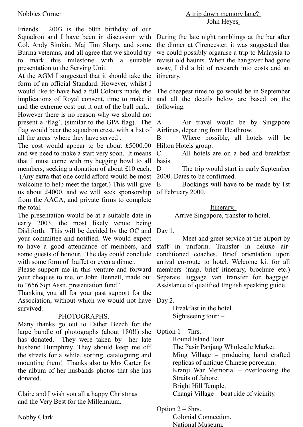## Nobbies Corner

Friends. 2003 is the 60th birthday of our Squadron and I have been in discussion with Col. Andy Simkin, Maj Tim Sharp, and some Burma veterans, and all agree that we should try to mark this milestone with a suitable presentation to the Serving Unit.

At the AGM I suggested that it should take the form of an official Standard. However, whilst I would like to have had a full Colours made, the implications of Royal consent, time to make it and the extreme cost put it out of the ball park. However there is no reason why we should not present a 'flag', (similar to the GPA flag). The flag would bear the squadron crest, with a list of Airlines, departing from Heathrow. all the areas where they have served .

The cost would appear to be about £5000.00 Hilton Hotels group. and we need to make a start very soon. It means that I must come with my begging bowl to all members, seeking a donation of about £10 each. (Any extra that one could afford would be most 2000. Dates to be confirmed. welcome to help meet the target.) This will give E us about £4000, and we will seek sponsorship of February 2000. from the AACA, and private firms to complete the total.

The presentation would be at a suitable date in early 2003, the most likely venue being Dishforth. This will be decided by the OC and Day 1. your committee and notified. We would expect to have a good attendance of members, and some guests of honour. The day could conclude with some form of buffet or even a dinner.

Please support me in this venture and forward your cheques to me, or John Bennett, made out to "656 Sqn Assn, presentation fund"

Thanking you all for your past support for the Association, without which we would not have Day 2. survived.

#### PHOTOGRAPHS.

Many thanks go out to Esther Beech for the large bundle of photographs (about 180!!) she has donated. They were taken by her late husband Humphrey. They should keep me off the streets for a while, sorting, cataloguing and mounting them! Thanks also to Mrs Carter for the album of her husbands photos that she has donated.

Claire and I wish you all a happy Christmas and the Very Best for the Millennium.

Nobby Clark

#### A trip down memory lane? John Heyes

During the late night ramblings at the bar after the dinner at Cirencester, it was suggested that we could possibly organise a trip to Malaysia to revisit old haunts. When the hangover had gone away, I did a bit of research into costs and an itinerary.

The cheapest time to go would be in September and all the details below are based on the following.

Air travel would be by Singapore

B Where possible, all hotels will be

C All hotels are on a bed and breakfast basis.

D The trip would start in early September

E Bookings will have to be made by 1st

#### Itinerary. Arrive Singapore, transfer to hotel.

Meet and greet service at the airport by staff in uniform. Transfer in deluxe airconditioned coaches. Brief orientation upon arrival en-route to hotel. Welcome kit for all members (map, brief itinerary, brochure etc.) Separate luggage van transfer for baggage. Assistance of qualified English speaking guide.

Breakfast in the hotel. Sightseeing tour: –

Option  $1 - 7$ hrs.

Round Island Tour The Pasir Panjang Wholesale Market. Ming Village – producing hand crafted replicas of antique Chinese porcelain. Kranji War Memorial – overlooking the Straits of Jahore. Bright Hill Temple. Changi Village – boat ride of vicinity.

Option 2 – 5hrs.

Colonial Connection.

National Museum,